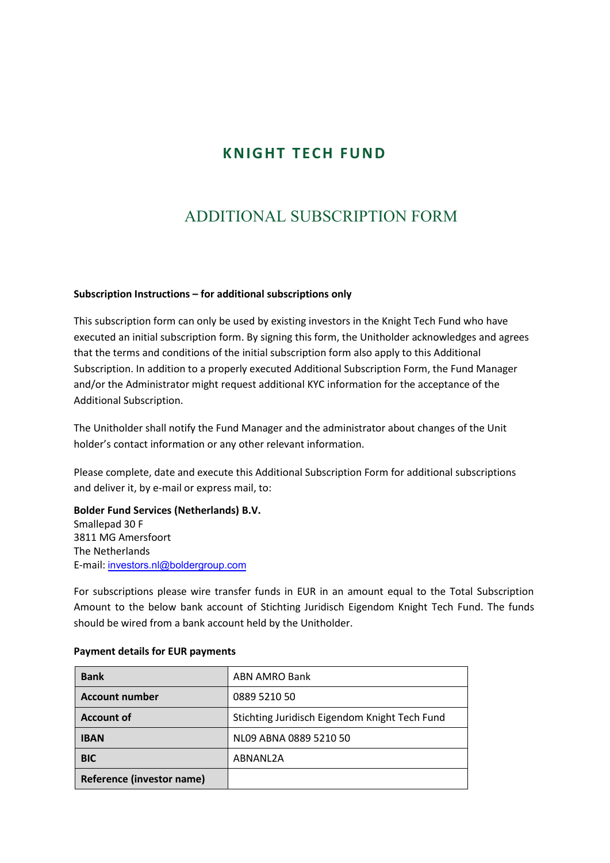# **K N IG HT T ECH FU N D**

# ADDITIONAL SUBSCRIPTION FORM

## **Subscription Instructions – for additional subscriptions only**

This subscription form can only be used by existing investors in the Knight Tech Fund who have executed an initial subscription form. By signing this form, the Unitholder acknowledges and agrees that the terms and conditions of the initial subscription form also apply to this Additional Subscription. In addition to a properly executed Additional Subscription Form, the Fund Manager and/or the Administrator might request additional KYC information for the acceptance of the Additional Subscription.

The Unitholder shall notify the Fund Manager and the administrator about changes of the Unit holder's contact information or any other relevant information.

Please complete, date and execute this Additional Subscription Form for additional subscriptions and deliver it, by e-mail or express mail, to:

**Bolder Fund Services (Netherlands) B.V.** Smallepad 30 F 3811 MG Amersfoort The Netherlands E-mail: investors.nl@boldergroup.com

For subscriptions please wire transfer funds in EUR in an amount equal to the Total Subscription Amount to the below bank account of Stichting Juridisch Eigendom Knight Tech Fund. The funds should be wired from a bank account held by the Unitholder.

| <b>Bank</b>               | <b>ABN AMRO Bank</b>                          |  |  |
|---------------------------|-----------------------------------------------|--|--|
| <b>Account number</b>     | 0889 5210 50                                  |  |  |
| <b>Account of</b>         | Stichting Juridisch Eigendom Knight Tech Fund |  |  |
| <b>IBAN</b>               | NL09 ABNA 0889 5210 50                        |  |  |
| <b>BIC</b>                | ABNANL2A                                      |  |  |
| Reference (investor name) |                                               |  |  |

#### **Payment details for EUR payments**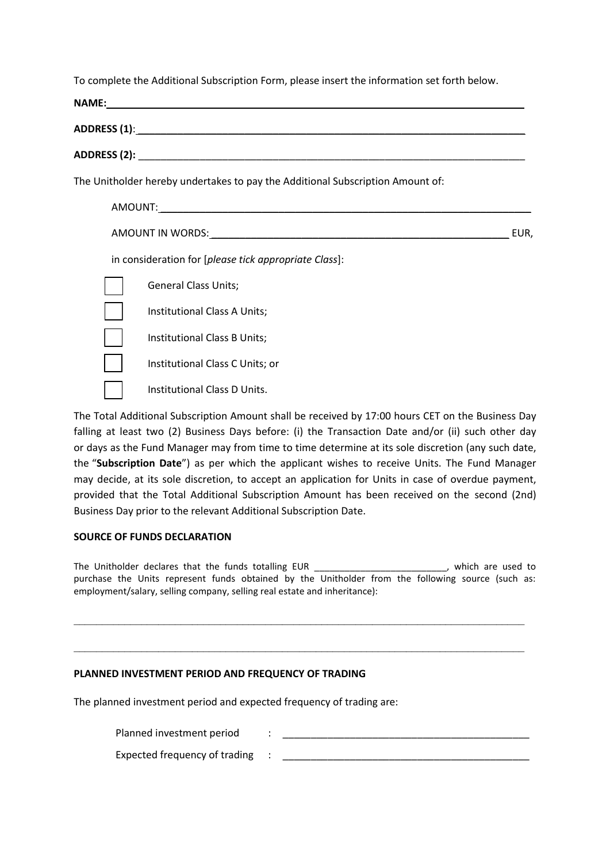To complete the Additional Subscription Form, please insert the information set forth below.

|      | The Unitholder hereby undertakes to pay the Additional Subscription Amount of: |  |  |  |
|------|--------------------------------------------------------------------------------|--|--|--|
|      |                                                                                |  |  |  |
| EUR. |                                                                                |  |  |  |
|      | in consideration for [please tick appropriate Class]:                          |  |  |  |
|      | <b>General Class Units;</b>                                                    |  |  |  |
|      | Institutional Class A Units;                                                   |  |  |  |
|      | Institutional Class B Units;                                                   |  |  |  |
|      | Institutional Class C Units; or                                                |  |  |  |
|      | Institutional Class D Units.                                                   |  |  |  |

The Total Additional Subscription Amount shall be received by 17:00 hours CET on the Business Day falling at least two (2) Business Days before: (i) the Transaction Date and/or (ii) such other day or days as the Fund Manager may from time to time determine at its sole discretion (any such date, the "**Subscription Date**") as per which the applicant wishes to receive Units. The Fund Manager may decide, at its sole discretion, to accept an application for Units in case of overdue payment, provided that the Total Additional Subscription Amount has been received on the second (2nd) Business Day prior to the relevant Additional Subscription Date.

# **SOURCE OF FUNDS DECLARATION**

The Unitholder declares that the funds totalling EUR \_\_\_\_\_\_\_\_\_\_\_\_\_\_\_\_\_\_\_\_\_\_\_\_\_\_, which are used to purchase the Units represent funds obtained by the Unitholder from the following source (such as: employment/salary, selling company, selling real estate and inheritance):

 $\_$  , and the contribution of the contribution of  $\mathcal{L}_\mathcal{A}$  , and the contribution of  $\mathcal{L}_\mathcal{A}$ 

 $\_$  , and the set of the set of the set of the set of the set of the set of the set of the set of the set of the set of the set of the set of the set of the set of the set of the set of the set of the set of the set of th

## **PLANNED INVESTMENT PERIOD AND FREQUENCY OF TRADING**

The planned investment period and expected frequency of trading are:

Planned investment period and the state of the state of the state of the state of the state of the state of the state of the state of the state of the state of the state of the state of the state of the state of the state

Expected frequency of trading :